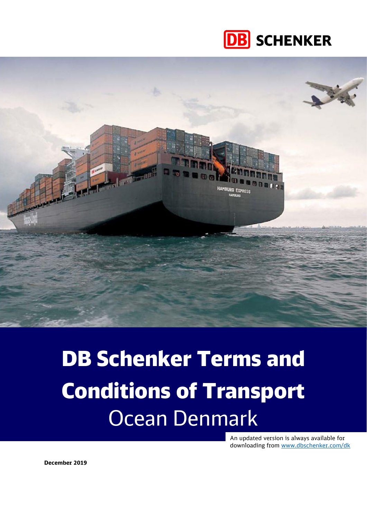



# DB Schenker Terms and Conditions of Transport Ocean Denmark

An updated version is always available for downloading from [www.dbschenker.com/dk](http://www.dbschenker.com/dk)

**December 2019**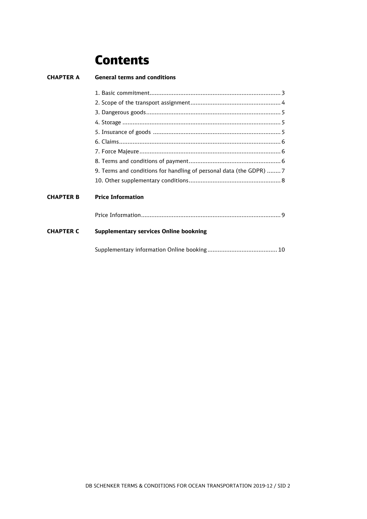# **Contents**

| <b>CHAPTER A</b> | <b>General terms and conditions</b>                                |
|------------------|--------------------------------------------------------------------|
|                  |                                                                    |
|                  |                                                                    |
|                  |                                                                    |
|                  |                                                                    |
|                  |                                                                    |
|                  |                                                                    |
|                  |                                                                    |
|                  |                                                                    |
|                  | 9. Terms and conditions for handling of personal data (the GDPR) 7 |
|                  |                                                                    |
| <b>CHAPTER B</b> | <b>Price Information</b>                                           |
|                  |                                                                    |
| <b>CHAPTER C</b> | <b>Supplementary services Online bookning</b>                      |
|                  |                                                                    |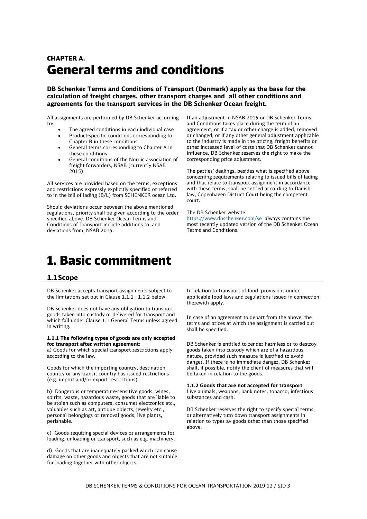### CHAPTER A. General terms and conditions

**DB Schenker Terms and Conditions of Transport (Denmark) apply as the base for the calculation of freight charges, other transport charges and all other conditions and agreements for the transport services in the DB Schenker Ocean freight.**

All assignments are performed by DB Schenker according to:

- The agreed conditions in each individual case • Product-specific conditions corresponding to Chapter B in these conditions
- General terms corresponding to Chapter A in these conditions
- General conditions of the Nordic association of freight forwarders, NSAB (currently NSAB 2015)

All services are provided based on the terms, exceptions and restrictions expressly explicitly specified or referred to in the bill of lading (B/L) from SCHENKER ocean Ltd.

Should deviations occur between the above-mentioned regulations, priority shall be given according to the order specified above. DB Schenker Ocean Terms and Conditions of Transport include additions to, and deviations from, NSAB 2015.

If an adjustment in NSAB 2015 or DB Schenker Terms and Conditions takes place during the term of an agreement, or if a tax or other charge is added, removed or changed, or if any other general adjustment applicable to the industry is made in the pricing, freight benefits or other increased level of costs that DB Schenker cannot influence, DB Schenker reserves the right to make the corresponding price adjustment.

The parties' dealings, besides what is specified above concerning requirements relating to issued bills of lading and that relate to transport assignment in accordance with these terms, shall be settled according to Danish law, Copenhagen District Court being the competent court.

### The DB Schenker website

[https://www.dbschenker.com/se](https://www.dbschenker.com/se-sv/meta/terms-and-conditions) always contains the most recently updated version of the DB Schenker Ocean Terms and Conditions.

# <span id="page-2-0"></span>1. Basic commitment

### **1.1Scope**

DB Schenker accepts transport assignments subject to the limitations set out in Clause 1.1.1 - 1.1.2 below.

DB Schenker does not have any obligation to transport goods taken into custody or delivered for transport and which fall under Clause 1.1 General Terms unless agreed in writing.

### **1.1.1 The following types of goods are only accepted for transport after written agreement:**

a) Goods for which special transport restrictions apply according to the law.

Goods for which the importing country, destination country or any transit country has issued restrictions (e.g. import and/or export restrictions)

b) Dangerous or temperature-sensitive goods, wines, spirits, waste, hazardous waste, goods that are liable to be stolen such as computers, consumer electronics etc., valuables such as art, antique objects, jewelry etc., personal belongings or removal goods, live plants, perishable.

c) Goods requiring special devices or arrangements for loading, unloading or transport, such as e.g. machinery.

d) Goods that are inadequately packed which can cause damage on other goods and objects that are not suitable for loading together with other objects.

In relation to transport of food, provisions under applicable food laws and regulations issued in connection therewith apply.

In case of an agreement to depart from the above, the terms and prices at which the assignment is carried out shall be specified.

DB Schenker is entitled to render harmless or to destroy goods taken into custody which are of a hazardous nature, provided such measure is justified to avoid danger. If there is no immediate danger, DB Schenker shall, if possible, notify the client of measures that will be taken in relation to the goods.

#### **1.1.2 Goods that are not accepted for transport** Live animals, weapons, bank notes, tobacco, infectious substances and cash.

DB Schenker reserves the right to specify special terms, or alternatively turn down transport assignments in relation to types av goods other than those specified above.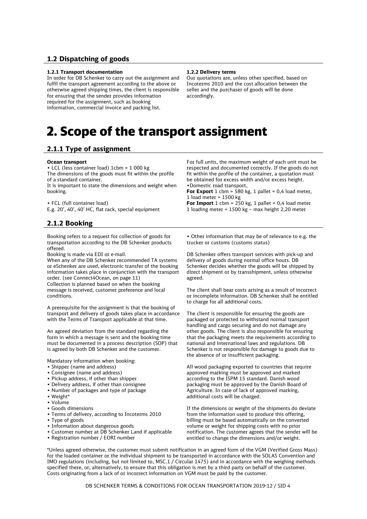### **1.2 Dispatching of goods**

### **1.2.1 Transport documentation**

In order for DB Schenker to carry out the assignment and fulfil the transport agreement according to the above or otherwise agreed shipping times, the client is responsible for ensuring that the sender provides information required for the assignment, such as booking information, commercial invoice and packing list.

#### **1.2.2 Delivery terms**

Our quotations are, unless other specified, based on Incoterms 2010 and the cost allocation between the seller and the purchaser of goods will be done accordingly.

# <span id="page-3-0"></span>2. Scope of the transport assignment

### **2.1.1 Type of assignment**

#### **Ocean transport**

• LCL (less container load) 1cbm = 1 000 kg

The dimensions of the goods must fit within the profile of a standard container.

It is important to state the dimensions and weight when booking.

• FCL (full container load) E.g. 20', 40', 40' HC, flat rack, special equipment

### **2.1.2 Booking**

Booking refers to a request for collection of goods for transportation according to the DB Schenker products offered.

Booking is made via EDI or e-mail.

When any of the DB Schenker recommended TA systems or eSchenker are used, electronic transfer of the booking information takes place in conjunction with the transport order. (see Connect4Ocean, on page 11) Collection is planned based on when the booking message is received, customer preference and local conditions.

A prerequisite for the assignment is that the booking of transport and delivery of goods takes place in accordance with the Terms of Transport applicable at that time.

An agreed deviation from the standard regarding the form in which a message is sent and the booking time must be documented in a process description (SOP) that is agreed by both DB Schenker and the customer.

Mandatory information when booking:

- Shipper (name and address)
- Consignee (name and address)
- Pickup address, if other than shipper
- Delivery address, if other than consignee
- Number of packages and type of package
- Weight\*
- Volume
- Goods dimensions
- Terms of delivery, according to Incoterms 2010
- Type of goods
- Information about dangerous goods
- Customer number at DB Schenker Land if applicable
- Registration number / EORI number

For full units, the maximum weight of each unit must be respected and documented correctly. If the goods do not fit within the profile of the container, a quotation must be obtained for excess width and/or excess height. •Domestic road transport,

**For Export** 1 cbm = 580 kg, 1 pallet =  $0.4$  load meter, 1 load meter =  $1500$  kg

**For Import**  $1 \text{ cbm} = 250 \text{ kg}, 1 \text{ pallet} = 0.4 \text{ load meter}$ 1 loading meter = 1500 kg – max height 2,20 meter

• Other information that may be of relevance to e.g. the trucker or customs (customs status)

DB Schenker offers transport services with pick-up and delivery of goods during normal office hours. DB Schenker decides whether the goods will be shipped by direct shipment or by transshipment, unless otherwise agreed.

The client shall bear costs arising as a result of incorrect or incomplete information. DB Schenker shall be entitled to charge for all additional costs.

The client is responsible for ensuring the goods are packaged or protected to withstand normal transport handling and cargo securing and do not damage any other goods. The client is also responsible for ensuring that the packaging meets the requirements according to national and international laws and regulations. DB Schenker is not responsible for damage to goods due to the absence of or insufficient packaging.

All wood packaging exported to countries that require approved marking must be approved and marked according to the ISPM 15 standard. Danish wood packaging must be approved by the Danish Board of Agriculture. In case of lack of approved marking, additional costs will be charged.

If the dimensions or weight of the shipments do deviate from the information used to produce this offering, billing must be based automatically on the converted volume or weight for shipping costs with no prior notification. The customer agrees that the sender will be entitled to change the dimensions and/or weight.

\*Unless agreed otherwise, the customer must submit notification in an agreed form of the VGM (Verified Gross Mass) for the loaded container or the individual shipment to be transported in accordance with the SOLAS Convention and IMO regulations (including, but not limited to, MSC.1 / Circular 1475) and in accordance with the weighing methods specified there, or, alternatively, to ensure that this obligation is met by a third party on behalf of the customer. Costs originating from a lack of or incorrect information on VGM must be paid by the customer.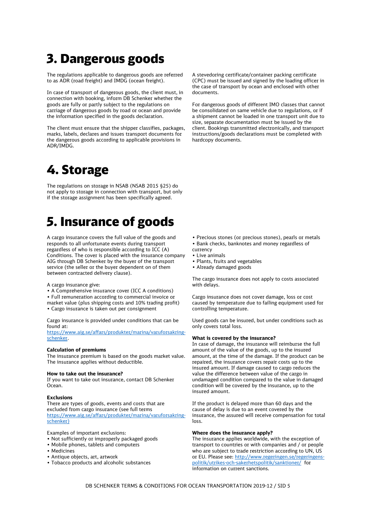# <span id="page-4-0"></span>3. Dangerous goods

The regulations applicable to dangerous goods are referred to as ADR (road freight) and IMDG (ocean freight).

In case of transport of dangerous goods, the client must, in connection with booking, inform DB Schenker whether the goods are fully or partly subject to the regulations on carriage of dangerous goods by road or ocean and provide the information specified in the goods declaration.

The client must ensure that the shipper classifies, packages, marks, labels, declares and issues transport documents for the dangerous goods according to applicable provisions in ADR/IMDG.

# <span id="page-4-1"></span>4. Storage

The regulations on storage in NSAB (NSAB 2015 §25) do not apply to storage in connection with transport, but only if the storage assignment has been specifically agreed.

# <span id="page-4-2"></span>5. Insurance of goods

A cargo insurance covers the full value of the goods and responds to all unfortunate events during transport regardless of who is responsible according to ICC (A) Conditions. The cover is placed with the insurance company AIG through DB Schenker by the buyer of the transport service (the seller or the buyer dependent on of them between contracted delivery clause).

A cargo insurance give:

- A Comprehensive insurance cover (ICC A conditions)
- Full remuneration according to commercial invoice or
- market value (plus shipping costs and 10% trading profit)
- Cargo insurance is taken out per consignment

Cargo insurance is provided under conditions that can be found at:

[https://www.aig.se/affars/produkter/marina/varuforsakring](https://urldefense.proofpoint.com/v2/url?u=https-3A__www.aig.se_affars_produkter_marina_varuforsakring-2Dschenker&d=DwMFAw&c=kn4_INW_mBCDHV_xJEVJkg&r=NQVtBnSMvFKbZTq9OkZ-99FyLggxnx94hni1wvwCHTc&m=_vjx8Bd8pMKr7KIP9vMGyeQZKKmQ_xDkk5vgwSvk2J8&s=QKPTepD4As7FbIc51Z8lXMZN5nnrjHK4tmgrxggpUDk&e=)[schenker.](https://urldefense.proofpoint.com/v2/url?u=https-3A__www.aig.se_affars_produkter_marina_varuforsakring-2Dschenker&d=DwMFAw&c=kn4_INW_mBCDHV_xJEVJkg&r=NQVtBnSMvFKbZTq9OkZ-99FyLggxnx94hni1wvwCHTc&m=_vjx8Bd8pMKr7KIP9vMGyeQZKKmQ_xDkk5vgwSvk2J8&s=QKPTepD4As7FbIc51Z8lXMZN5nnrjHK4tmgrxggpUDk&e=)

#### **Calculation of premiums**

The insurance premium is based on the goods market value. The insurance applies without deductible.

### **How to take out the insurance?**

If you want to take out insurance, contact DB Schenker Ocean.

#### **Exclusions**

There are types of goods, events and costs that are excluded from cargo insurance (see full terms [https://www.aig.se/affars/produkter/marina/varuforsakring](https://urldefense.proofpoint.com/v2/url?u=https-3A__www.aig.se_affars_produkter_marina_varuforsakring-2Dschenker&d=DwMFAw&c=kn4_INW_mBCDHV_xJEVJkg&r=NQVtBnSMvFKbZTq9OkZ-99FyLggxnx94hni1wvwCHTc&m=_vjx8Bd8pMKr7KIP9vMGyeQZKKmQ_xDkk5vgwSvk2J8&s=QKPTepD4As7FbIc51Z8lXMZN5nnrjHK4tmgrxggpUDk&e=)[schenker\)](https://urldefense.proofpoint.com/v2/url?u=https-3A__www.aig.se_affars_produkter_marina_varuforsakring-2Dschenker&d=DwMFAw&c=kn4_INW_mBCDHV_xJEVJkg&r=NQVtBnSMvFKbZTq9OkZ-99FyLggxnx94hni1wvwCHTc&m=_vjx8Bd8pMKr7KIP9vMGyeQZKKmQ_xDkk5vgwSvk2J8&s=QKPTepD4As7FbIc51Z8lXMZN5nnrjHK4tmgrxggpUDk&e=)

Examples of important exclusions:

- Not sufficiently or improperly packaged goods
- Mobile phones, tablets and computers
- Medicines
- Antique objects, art, artwork
- Tobacco products and alcoholic substances

A stevedoring certificate/container packing certificate (CPC) must be issued and signed by the loading officer in the case of transport by ocean and enclosed with other documents.

For dangerous goods of different IMO classes that cannot be consolidated on same vehicle due to regulations, or if a shipment cannot be loaded in one transport unit due to size, separate documentation must be issued by the client. Bookings transmitted electronically, and transport instructions/goods declarations must be completed with hardcopy documents.

- Precious stones (or precious stones), pearls or metals
- Bank checks, banknotes and money regardless of
- currency
- Live animals
- Plants, fruits and vegetables
- Already damaged goods

The cargo insurance does not apply to costs associated with delays.

Cargo insurance does not cover damage, loss or cost caused by temperature due to failing equipment used for controlling temperature.

Used goods can be insured, but under conditions such as only covers total loss.

### **What is covered by the insurance?**

In case of damage, the insurance will reimburse the full amount of the value of the goods, up to the insured amount, at the time of the damage. If the product can be repaired, the insurance covers repair costs up to the insured amount. If damage caused to cargo reduces the value the difference between value of the cargo in undamaged condition compared to the value in damaged condition will be covered by the insurance, up to the insured amount.

If the product is delayed more than 60 days and the cause of delay is due to an event covered by the insurance, the assured will receive compensation for total loss.

#### **Where does the insurance apply?**

The insurance applies worldwide, with the exception of transport to countries or with companies and / or people who are subject to trade restriction according to UN, US or EU. Please see: [http://www.regeringen.se/regeringens](http://www.regeringen.se/regeringens-politik/utrikes-och-sakerhetspolitik/sanktioner/)[politik/utrikes-och-sakerhetspolitik/sanktioner/](http://www.regeringen.se/regeringens-politik/utrikes-och-sakerhetspolitik/sanktioner/) for information on current sanctions.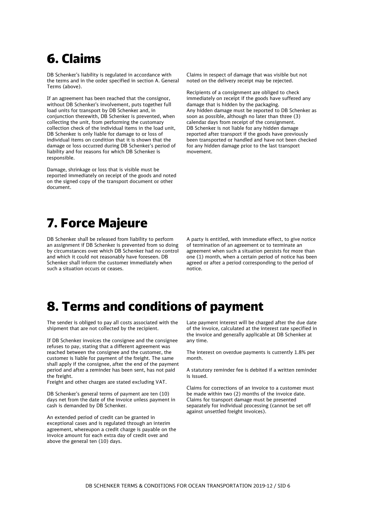# <span id="page-5-0"></span>6. Claims

DB Schenker's liability is regulated in accordance with the terms and in the order specified in section A. General Terms (above).

If an agreement has been reached that the consignor, without DB Schenker's involvement, puts together full load units for transport by DB Schenker and, in conjunction therewith, DB Schenker is prevented, when collecting the unit, from performing the customary collection check of the individual items in the load unit, DB Schenker is only liable for damage to or loss of individual items on condition that it is shown that the damage or loss occurred during DB Schenker's period of liability and for reasons for which DB Schenker is responsible.

Damage, shrinkage or loss that is visible must be reported immediately on receipt of the goods and noted on the signed copy of the transport document or other document.

Claims in respect of damage that was visible but not noted on the delivery receipt may be rejected.

Recipients of a consignment are obliged to check immediately on receipt if the goods have suffered any damage that is hidden by the packaging. Any hidden damage must be reported to DB Schenker as soon as possible, although no later than three (3) calendar days from receipt of the consignment. DB Schenker is not liable for any hidden damage reported after transport if the goods have previously been transported or handled and have not been checked for any hidden damage prior to the last transport movement.

# <span id="page-5-1"></span>7. Force Majeure

DB Schenker shall be released from liability to perform an assignment if DB Schenker is prevented from so doing by circumstances over which DB Schenker had no control and which it could not reasonably have foreseen. DB Schenker shall inform the customer immediately when such a situation occurs or ceases.

A party is entitled, with immediate effect, to give notice of termination of an agreement or to terminate an agreement when such a situation persists for more than one (1) month, when a certain period of notice has been agreed or after a period corresponding to the period of notice.

# <span id="page-5-2"></span>8. Terms and conditions of payment

The sender is obliged to pay all costs associated with the shipment that are not collected by the recipient.

If DB Schenker invoices the consignee and the consignee refuses to pay, stating that a different agreement was reached between the consignee and the customer, the customer is liable for payment of the freight. The same shall apply if the consignee, after the end of the payment period and after a reminder has been sent, has not paid the freight.

Freight and other charges are stated excluding VAT.

DB Schenker's general terms of payment are ten (10) days net from the date of the invoice unless payment in cash is demanded by DB Schenker.

An extended period of credit can be granted in exceptional cases and is regulated through an interim agreement, whereupon a credit charge is payable on the invoice amount for each extra day of credit over and above the general ten (10) days.

Late payment interest will be charged after the due date of the invoice, calculated at the interest rate specified in the invoice and generally applicable at DB Schenker at any time.

The interest on overdue payments is currently 1.8% per month.

A statutory reminder fee is debited if a written reminder is issued.

Claims for corrections of an invoice to a customer must be made within two (2) months of the invoice date. Claims for transport damage must be presented separately for individual processing (cannot be set off against unsettled freight invoices).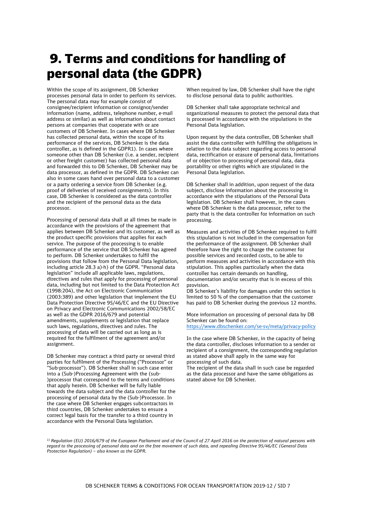# <span id="page-6-0"></span>9. Terms and conditions for handling of personal data (the GDPR)

Within the scope of its assignment, DB Schenker processes personal data in order to perform its services. The personal data may for example consist of consignee/recipient information or consignor/sender information (name, address, telephone number, e-mail address or similar) as well as information about contact persons at companies that cooperate with or are customers of DB Schenker. In cases where DB Schenker has collected personal data, within the scope of its performance of the services, DB Schenker is the data controller, as is defined in the GDPR1). In cases where someone other than DB Schenker (i.e. a sender, recipient or other freight customer) has collected personal data and forwarded this to DB Schenker, DB Schenker may be data processor, as defined in the GDPR. DB Schenker can also in some cases hand over personal data to a customer or a party ordering a service from DB Schenker (e.g. proof of deliveries of received consignments). In this case, DB Schenker is considered as the data controller and the recipient of the personal data as the data processor.

Processing of personal data shall at all times be made in accordance with the provisions of the agreement that applies between DB Schenker and its customer, as well as the product specific provisions that applies for each service. The purpose of the processing is to enable performance of the service that DB Schenker has agreed to perform. DB Schenker undertakes to fulfil the provisions that follow from the Personal Data legislation, including article 28.3 a)-h) of the GDPR. "Personal data legislation" include all applicable laws, regulations, directives and rules that apply for processing of personal data, including but not limited to the Data Protection Act (1998:204), the Act on Electronic Communication (2003:389) and other legislation that implement the EU Data Protection Directive 95/46/EC and the EU Directive on Privacy and Electronic Communications 2002/58/EC as well as the GDPR 2016/679 and potential amendments, supplements or legislation that replace such laws, regulations, directives and rules. The processing of data will be carried out as long as is required for the fulfilment of the agreement and/or assignment.

DB Schenker may contract a third party or several third parties for fulfilment of the Processing ("Processor" or "Sub-processor"). DB Schenker shall in such case enter into a (Sub-)Processing Agreement with the (sub- )processor that correspond to the terms and conditions that apply herein. DB Schenker will be fully liable towards the data subject and the data controller for the processing of personal data by the (Sub-)Processor. In the case where DB Schenker engages subcontractors in third countries, DB Schenker undertakes to ensure a correct legal basis for the transfer to a third country in accordance with the Personal Data legislation.

When required by law, DB Schenker shall have the right to disclose personal data to public authorities.

DB Schenker shall take appropriate technical and organizational measures to protect the personal data that is processed in accordance with the stipulations in the Personal Data legislation.

Upon request by the data controller, DB Schenker shall assist the data controller with fulfilling the obligations in relation to the data subject regarding access to personal data, rectification or erasure of personal data, limitations of or objection to processing of personal data, data portability or other rights which are stipulated in the Personal Data legislation.

DB Schenker shall in addition, upon request of the data subject, disclose information about the processing in accordance with the stipulations of the Personal Data legislation. DB Schenker shall however, in the cases where DB Schenker is the data processor, refer to the party that is the data controller for information on such processing.

Measures and activities of DB Schenker required to fulfil this stipulation is not included in the compensation for the performance of the assignment. DB Schenker shall therefore have the right to charge the customer for possible services and recorded costs, to be able to perform measures and activities in accordance with this stipulation. This applies particularly when the data controller has certain demands on handling, documentation and/or security that is in excess of this provision.

DB Schenker's liability for damages under this section is limited to 50 % of the compensation that the customer has paid to DB Schenker during the previous 12 months.

More information on processing of personal data by DB Schenker can be found on:

<https://www.dbschenker.com/se-sv/meta/privacy-policy>

In the case where DB Schenker, in the capacity of being the data controller, discloses information to a sender or recipient of a consignment, the corresponding regulation as stated above shall apply in the same way for processing of such data.

The recipient of the data shall in such case be regarded as the data processor and have the same obligations as stated above for DB Schenker.

*<sup>1)</sup> Regulation (EU) 2016/679 of the European Parliament and of the Council of 27 April 2016 on the protection of natural persons with regard to the processing of personal data and on the free movement of such data, and repealing Directive 95/46/EC (General Data Protection Regulation) – also known as the GDPR.*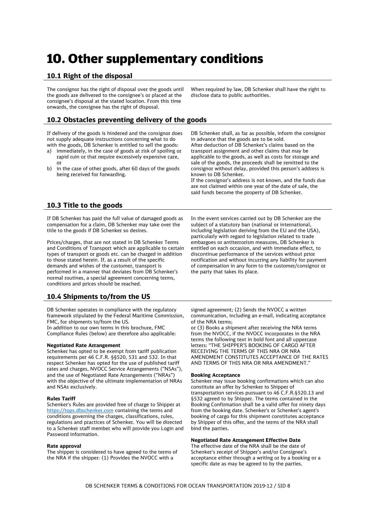# <span id="page-7-0"></span>10. Other supplementary conditions

### **10.1 Right of the disposal**

The consignor has the right of disposal over the goods until the goods are delivered to the consignee's or placed at the consignee's disposal at the stated location. From this time onwards, the consignee has the right of disposal.

### **10.2 Obstacles preventing delivery of the goods**

If delivery of the goods is hindered and the consignor does not supply adequate instructions concerning what to do with the goods, DB Schenker is entitled to sell the goods:

- a) immediately, in the case of goods at risk of spoiling or rapid ruin or that require excessively expensive care, or
- b) in the case of other goods, after 60 days of the goods being received for forwarding.

When required by law, DB Schenker shall have the right to disclose data to public authorities.

DB Schenker shall, as far as possible, inform the consignor in advance that the goods are to be sold. After deduction of DB Schenker's claims based on the transport assignment and other claims that may be applicable to the goods, as well as costs for storage and sale of the goods, the proceeds shall be remitted to the consignor without delay, provided this person's address is known to DB Schenker.

If the consignor's address is not known, and the funds due are not claimed within one year of the date of sale, the said funds become the property of DB Schenker.

### **10.3 Title to the goods**

If DB Schenker has paid the full value of damaged goods as compensation for a claim, DB Schenker may take over the title to the goods if DB Schenker so desires.

Prices/charges, that are not stated in DB Schenker Terms and Conditions of Transport which are applicable to certain types of transport or goods etc. can be charged in addition to those stated herein. If, as a result of the specific demands and wishes of the customer, transport is performed in a manner that deviates from DB Schenker's normal routines, a special agreement concerning terms, conditions and prices should be reached.

### **10.4 Shipments to/from the US**

DB Schenker operates in compliance with the regulatory framework stipulated by the Federal Maritime Commission, FMC, for shipments to/from the US.

In addition to our own terms in this brochure, FMC Compliance Rules (below) are therefore also applicable:

### **Negotiated Rate Arrangement**

Schenker has opted to be exempt from tariff publication requirements per 46 C.F.R. §§520, 531 and 532. In that respect Schenker has opted for the use of published tariff rates and charges, NVOCC Service Arrangements ("NSAs"), and the use of Negotiated Rate Arrangements ("NRAs") with the objective of the ultimate implementation of NRAs and NSAs exclusively.

### **Rules Tariff**

Schenker's Rules are provided free of charge to Shipper at [https://tops.dbschenker.com](https://tops.dbschenker.com/) containing the terms and conditions governing the charges, classifications, rules, regulations and practices of Schenker. You will be directed to a Schenker staff member who will provide you Login and Password information.

### **Rate approval**

The shipper is considered to have agreed to the terms of the NRA if the shipper: (1) Provides the NVOCC with a

In the event services carried out by DB Schenker are the subject of a statutory ban (national or international, including legislation deriving from the EU and the USA), particularly with regard to legislation related to trade embargoes or antiterrorism measures, DB Schenker is entitled on each occasion, and with immediate effect, to discontinue performance of the services without prior notification and without incurring any liability for payment of compensation in any form to the customer/consignor or the party that takes its place.

signed agreement; (2) Sends the NVOCC a written communication, including an e-mail, indicating acceptance of the NRA terms;

or (3) Books a shipment after receiving the NRA terms from the NVOCC, if the NVOCC incorporates in the NRA terms the following text in bold font and all uppercase letters: "THE SHIPPER'S BOOKING OF CARGO AFTER RECEIVING THE TERMS OF THIS NRA OR NRA AMENDMENT CONSTITUTES ACCEPTANCE OF THE RATES AND TERMS OF THIS NRA OR NRA AMENDMENT."

### **Booking Acceptance**

Schenker may issue booking confirmations which can also constitute an offer by Schenker to Shipper of transportation services pursuant to 46 C.F.R.§520.13 and §532 agreed to by Shipper. The terms contained in the Booking Confirmation shall be a valid offer for ninety days from the booking date. Schenker's or Schenker's agent's booking of cargo for this shipment constitutes acceptance by Shipper of this offer, and the terms of the NRA shall bind the parties.

### **Negotiated Rate Arrangement Effective Date**

The effective date of the NRA shall be the date of Schenker's receipt of Shipper's and/or Consignee's acceptance either through a writing or by a booking or a specific date as may be agreed to by the parties.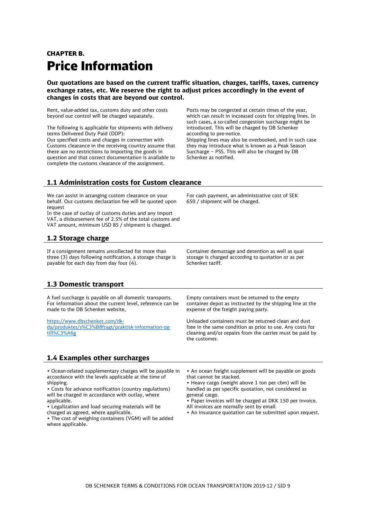## <span id="page-8-0"></span>CHAPTER B. Price Information

**Our quotations are based on the current traffic situation, charges, tariffs, taxes, currency exchange rates, etc. We reserve the right to adjust prices accordingly in the event of changes in costs that are beyond our control.**

Rent, value-added tax, customs duty and other costs beyond our control will be charged separately.

The following is applicable for shipments with delivery terms Delivered Duty Paid (DDP): Our specified costs and charges in connection with Customs clearance in the receiving country assume that there are no restrictions to importing the goods in question and that correct documentation is available to complete the customs clearance of the assignment.

Ports may be congested at certain times of the year, which can result in increased costs for shipping lines. In such cases, a so-called congestion surcharge might be introduced. This will be charged by DB Schenker according to pre-notice. Shipping lines may also be overbooked, and in such case they may introduce what is known as a Peak Season Surcharge – PSS. This will also be charged by DB Schenker as notified.

### **1.1 Administration costs for Custom clearance**

We can assist in arranging custom clearance on your behalf. Our customs declaration fee will be quoted upon request

In the case of outlay of customs duties and any import VAT, a disbursement fee of 2.5% of the total customs and VAT amount, minimum USD 85 / shipment is charged.

### **1.2 Storage charge**

If a consignment remains uncollected for more than three (3) days following notification, a storage charge is payable for each day from day four (4).

For cash payment, an administrative cost of SEK 650 / shipment will be charged.

Container demurrage and detention as well as quai storage is charged according to quotation or as per Schenker tariff.

### **1.3 Domestic transport**

A fuel surcharge is payable on all domestic transports. For information about the current level, reference can be made to the DB Schenker website,

[https://www.dbschenker.com/dk](https://www.dbschenker.com/dk-da/produkter/s%C3%B8fragt/praktisk-information-og-till%C3%A6g)[da/produkter/s%C3%B8fragt/praktisk-information-og](https://www.dbschenker.com/dk-da/produkter/s%C3%B8fragt/praktisk-information-og-till%C3%A6g)[till%C3%A6g](https://www.dbschenker.com/dk-da/produkter/s%C3%B8fragt/praktisk-information-og-till%C3%A6g)

### **1.4 Examples other surcharges**

• Ocean-related supplementary charges will be payable in accordance with the levels applicable at the time of shinning

• Costs for advance notification (country regulations) will be charged in accordance with outlay, where applicable.

• Legalization and load securing materials will be charged as agreed, where applicable.

• The cost of weighing containers (VGM) will be added where applicable.

Empty containers must be returned to the empty container depot as instructed by the shipping line at the expense of the freight paying party.

Unloaded containers must be returned clean and dust free in the same condition as prior to use. Any costs for cleaning and/or repairs from the carrier must be paid by the customer.

• An ocean freight supplement will be payable on goods that cannot be stacked.

• Heavy cargo (weight above 1 ton per cbm) will be handled as per specific quotation, not considered as general cargo.

• Paper invoices will be charged at DKK 150 per invoice. All invoices are normally sent by email.

• An insurance quotation can be submitted upon request.